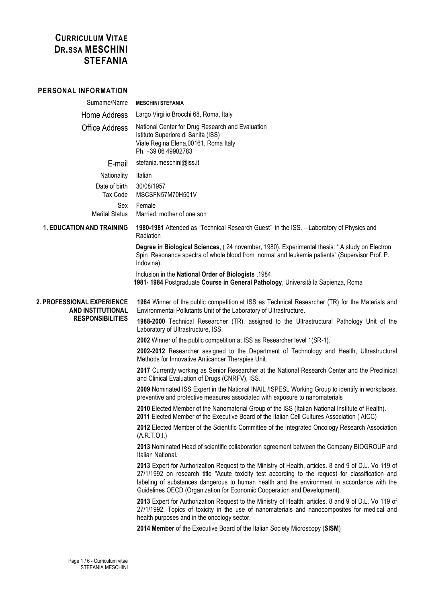## **CURRICULUM VITAE DR.SSA MESCHINI STEFANIA**

| PERSONAL INFORMATION                                                              |                                                                                                                                                                                                                                                                                                                                                                                                                                                                                                                                                                                                                                                                                                                                                                                                                                                                                                                                                                                                                                                                                                                                                                                                                                                                                                                                                                                                                                                                                                                                                                                                                                                                                                                                                                                                                                                                                                                                                                                                                                                        |
|-----------------------------------------------------------------------------------|--------------------------------------------------------------------------------------------------------------------------------------------------------------------------------------------------------------------------------------------------------------------------------------------------------------------------------------------------------------------------------------------------------------------------------------------------------------------------------------------------------------------------------------------------------------------------------------------------------------------------------------------------------------------------------------------------------------------------------------------------------------------------------------------------------------------------------------------------------------------------------------------------------------------------------------------------------------------------------------------------------------------------------------------------------------------------------------------------------------------------------------------------------------------------------------------------------------------------------------------------------------------------------------------------------------------------------------------------------------------------------------------------------------------------------------------------------------------------------------------------------------------------------------------------------------------------------------------------------------------------------------------------------------------------------------------------------------------------------------------------------------------------------------------------------------------------------------------------------------------------------------------------------------------------------------------------------------------------------------------------------------------------------------------------------|
| Surname/Name                                                                      | <b>MESCHINI STEFANIA</b>                                                                                                                                                                                                                                                                                                                                                                                                                                                                                                                                                                                                                                                                                                                                                                                                                                                                                                                                                                                                                                                                                                                                                                                                                                                                                                                                                                                                                                                                                                                                                                                                                                                                                                                                                                                                                                                                                                                                                                                                                               |
| Home Address                                                                      | Largo Virgilio Brocchi 68, Roma, Italy                                                                                                                                                                                                                                                                                                                                                                                                                                                                                                                                                                                                                                                                                                                                                                                                                                                                                                                                                                                                                                                                                                                                                                                                                                                                                                                                                                                                                                                                                                                                                                                                                                                                                                                                                                                                                                                                                                                                                                                                                 |
| <b>Office Address</b>                                                             | National Center for Drug Research and Evaluation<br>Istituto Superiore di Sanità (ISS)<br>Viale Regina Elena, 00161, Roma Italy<br>Ph. +39 06 49902783                                                                                                                                                                                                                                                                                                                                                                                                                                                                                                                                                                                                                                                                                                                                                                                                                                                                                                                                                                                                                                                                                                                                                                                                                                                                                                                                                                                                                                                                                                                                                                                                                                                                                                                                                                                                                                                                                                 |
| E-mail                                                                            | stefania.meschini@iss.it                                                                                                                                                                                                                                                                                                                                                                                                                                                                                                                                                                                                                                                                                                                                                                                                                                                                                                                                                                                                                                                                                                                                                                                                                                                                                                                                                                                                                                                                                                                                                                                                                                                                                                                                                                                                                                                                                                                                                                                                                               |
| Nationality                                                                       | Italian                                                                                                                                                                                                                                                                                                                                                                                                                                                                                                                                                                                                                                                                                                                                                                                                                                                                                                                                                                                                                                                                                                                                                                                                                                                                                                                                                                                                                                                                                                                                                                                                                                                                                                                                                                                                                                                                                                                                                                                                                                                |
| Date of birth<br>Tax Code                                                         | 30/08/1957<br>MSCSFN57M70H501V                                                                                                                                                                                                                                                                                                                                                                                                                                                                                                                                                                                                                                                                                                                                                                                                                                                                                                                                                                                                                                                                                                                                                                                                                                                                                                                                                                                                                                                                                                                                                                                                                                                                                                                                                                                                                                                                                                                                                                                                                         |
| Sex<br><b>Marital Status</b>                                                      | Female<br>Married, mother of one son                                                                                                                                                                                                                                                                                                                                                                                                                                                                                                                                                                                                                                                                                                                                                                                                                                                                                                                                                                                                                                                                                                                                                                                                                                                                                                                                                                                                                                                                                                                                                                                                                                                                                                                                                                                                                                                                                                                                                                                                                   |
| <b>1. EDUCATION AND TRAINING</b>                                                  | 1980-1981 Attended as "Technical Research Guest" in the ISS. - Laboratory of Physics and<br>Radiation                                                                                                                                                                                                                                                                                                                                                                                                                                                                                                                                                                                                                                                                                                                                                                                                                                                                                                                                                                                                                                                                                                                                                                                                                                                                                                                                                                                                                                                                                                                                                                                                                                                                                                                                                                                                                                                                                                                                                  |
|                                                                                   | Degree in Biological Sciences, (24 november, 1980). Experimental thesis: "A study on Electron<br>Spin Resonance spectra of whole blood from normal and leukemia patients" (Supervisor Prof. P.<br>Indovina).                                                                                                                                                                                                                                                                                                                                                                                                                                                                                                                                                                                                                                                                                                                                                                                                                                                                                                                                                                                                                                                                                                                                                                                                                                                                                                                                                                                                                                                                                                                                                                                                                                                                                                                                                                                                                                           |
|                                                                                   | lnclusion in the National Order of Biologists, 1984.<br>1981-1984 Postgraduate Course in General Pathology, Università la Sapienza, Roma                                                                                                                                                                                                                                                                                                                                                                                                                                                                                                                                                                                                                                                                                                                                                                                                                                                                                                                                                                                                                                                                                                                                                                                                                                                                                                                                                                                                                                                                                                                                                                                                                                                                                                                                                                                                                                                                                                               |
| 2. PROFESSIONAL EXPERIENCE<br><b>AND INSTITUTIONAL</b><br><b>RESPONSIBILITIES</b> | 1984 Winner of the public competition at ISS as Technical Researcher (TR) for the Materials and<br>Environmental Pollutants Unit of the Laboratory of Ultrastructure.<br>1988-2000 Technical Researcher (TR), assigned to the Ultrastructural Pathology Unit of the<br>Laboratory of Ultrastructure, ISS.<br>2002 Winner of the public competition at ISS as Researcher level 1(SR-1).<br>2002-2012 Researcher assigned to the Department of Technology and Health, Ultrastructural<br>Methods for Innovative Anticancer Therapies Unit.<br>2017 Currently working as Senior Researcher at the National Research Center and the Preclinical<br>and Clinical Evaluation of Drugs (CNRFV), ISS.<br>2009 Nominated ISS Expert in the National INAIL /ISPESL Working Group to identify in workplaces,<br>preventive and protective measures associated with exposure to nanomaterials<br>2010 Elected Member of the Nanomaterial Group of the ISS (Italian National Institute of Health).<br>2011 Elected Member of the Executive Board of the Italian Cell Cultures Association (AICC)<br>2012 Elected Member of the Scientific Committee of the Integrated Oncology Research Association<br>(A.R.T.O.I.)<br>2013 Nominated Head of scientific collaboration agreement between the Company BIOGROUP and<br>Italian National.<br>2013 Expert for Authorization Request to the Ministry of Health, articles. 8 and 9 of D.L. Vo 119 of<br>27/1/1992 on research title "Acute toxicity test according to the request for classification and<br>labeling of substances dangerous to human health and the environment in accordance with the<br>Guidelines OECD (Organization for Economic Cooperation and Development).<br>2013 Expert for Authorization Request to the Ministry of Health, articles. 8 and 9 of D.L. Vo 119 of<br>27/1/1992. Topics of toxicity in the use of nanomaterials and nanocomposites for medical and<br>health purposes and in the oncology sector.<br>2014 Member of the Executive Board of the Italian Society Microscopy (SISM) |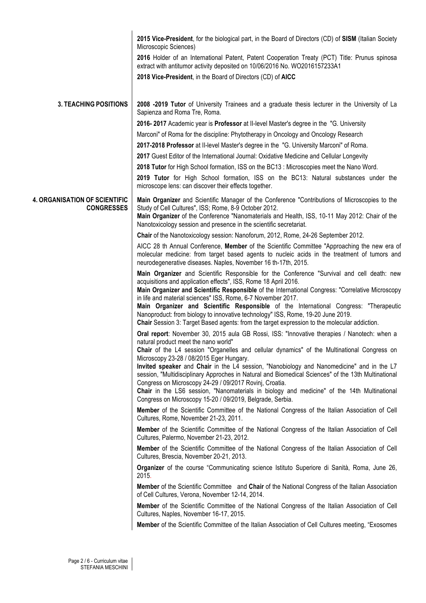|                                                           | 2015 Vice-President, for the biological part, in the Board of Directors (CD) of SISM (Italian Society                                                                                                                                                                                                                             |
|-----------------------------------------------------------|-----------------------------------------------------------------------------------------------------------------------------------------------------------------------------------------------------------------------------------------------------------------------------------------------------------------------------------|
|                                                           | Microscopic Sciences)<br>2016 Holder of an International Patent, Patent Cooperation Treaty (PCT) Title: Prunus spinosa                                                                                                                                                                                                            |
|                                                           | extract with antitumor activity deposited on 10/06/2016 No. WO2016157233A1                                                                                                                                                                                                                                                        |
|                                                           | 2018 Vice-President, in the Board of Directors (CD) of AICC                                                                                                                                                                                                                                                                       |
|                                                           |                                                                                                                                                                                                                                                                                                                                   |
| <b>3. TEACHING POSITIONS</b>                              | 2008 -2019 Tutor of University Trainees and a graduate thesis lecturer in the University of La<br>Sapienza and Roma Tre, Roma.                                                                                                                                                                                                    |
|                                                           | 2016-2017 Academic year is Professor at II-level Master's degree in the "G. University                                                                                                                                                                                                                                            |
|                                                           | Marconi" of Roma for the discipline: Phytotherapy in Oncology and Oncology Research                                                                                                                                                                                                                                               |
|                                                           | 2017-2018 Professor at II-level Master's degree in the "G. University Marconi" of Roma.                                                                                                                                                                                                                                           |
|                                                           | 2017 Guest Editor of the International Journal: Oxidative Medicine and Cellular Longevity                                                                                                                                                                                                                                         |
|                                                           | 2018 Tutor for High School formation, ISS on the BC13 : Microscopies meet the Nano Word.                                                                                                                                                                                                                                          |
|                                                           | 2019 Tutor for High School formation, ISS on the BC13: Natural substances under the<br>microscope lens: can discover their effects together.                                                                                                                                                                                      |
| <b>4. ORGANISATION OF SCIENTIFIC</b><br><b>CONGRESSES</b> | Main Organizer and Scientific Manager of the Conference "Contributions of Microscopies to the<br>Study of Cell Cultures", ISS; Rome, 8-9 October 2012.<br>Main Organizer of the Conference "Nanomaterials and Health, ISS, 10-11 May 2012: Chair of the                                                                           |
|                                                           | Nanotoxicology session and presence in the scientific secretariat.                                                                                                                                                                                                                                                                |
|                                                           | Chair of the Nanotoxicology session: Nanoforum, 2012, Rome, 24-26 September 2012.                                                                                                                                                                                                                                                 |
|                                                           | AICC 28 th Annual Conference, Member of the Scientific Committee "Approaching the new era of<br>molecular medicine: from target based agents to nucleic acids in the treatment of tumors and<br>neurodegenerative diseases. Naples, November 16 th-17th, 2015.                                                                    |
|                                                           | Main Organizer and Scientific Responsible for the Conference "Survival and cell death: new<br>acquisitions and application effects", ISS, Rome 18 April 2016.<br>Main Organizer and Scientific Responsible of the International Congress: "Correlative Microscopy<br>in life and material sciences" ISS, Rome, 6-7 November 2017. |
|                                                           | Main Organizer and Scientific Responsible of the International Congress: "Therapeutic<br>Nanoproduct: from biology to innovative technology" ISS, Rome, 19-20 June 2019.<br>Chair Session 3: Target Based agents: from the target expression to the molecular addiction.                                                          |
|                                                           | Oral report: November 30, 2015 aula GB Rossi, ISS: "Innovative therapies / Nanotech: when a<br>natural product meet the nano world"                                                                                                                                                                                               |
|                                                           | Chair of the L4 session "Organelles and cellular dynamics" of the Multinational Congress on<br>Microscopy 23-28 / 08/2015 Eger Hungary.                                                                                                                                                                                           |
|                                                           | Invited speaker and Chair in the L4 session, "Nanobiology and Nanomedicine" and in the L7<br>session, "Multidisciplinary Approches in Natural and Biomedical Sciences" of the 13th Multinational<br>Congress on Microscopy 24-29 / 09/2017 Rovinj, Croatia.                                                                       |
|                                                           | Chair in the LS6 session, "Nanomaterials in biology and medicine" of the 14th Multinational<br>Congress on Microscopy 15-20 / 09/2019, Belgrade, Serbia.                                                                                                                                                                          |
|                                                           | Member of the Scientific Committee of the National Congress of the Italian Association of Cell<br>Cultures, Rome, November 21-23, 2011.                                                                                                                                                                                           |
|                                                           | Member of the Scientific Committee of the National Congress of the Italian Association of Cell<br>Cultures, Palermo, November 21-23, 2012.                                                                                                                                                                                        |
|                                                           | Member of the Scientific Committee of the National Congress of the Italian Association of Cell<br>Cultures, Brescia, November 20-21, 2013.                                                                                                                                                                                        |
|                                                           | Organizer of the course "Communicating science Istituto Superiore di Sanità, Roma, June 26,<br>2015.                                                                                                                                                                                                                              |
|                                                           | Member of the Scientific Committee and Chair of the National Congress of the Italian Association<br>of Cell Cultures, Verona, November 12-14, 2014.                                                                                                                                                                               |
|                                                           | Member of the Scientific Committee of the National Congress of the Italian Association of Cell<br>Cultures, Naples, November 16-17, 2015.                                                                                                                                                                                         |
|                                                           | Member of the Scientific Committee of the Italian Association of Cell Cultures meeting, "Exosomes                                                                                                                                                                                                                                 |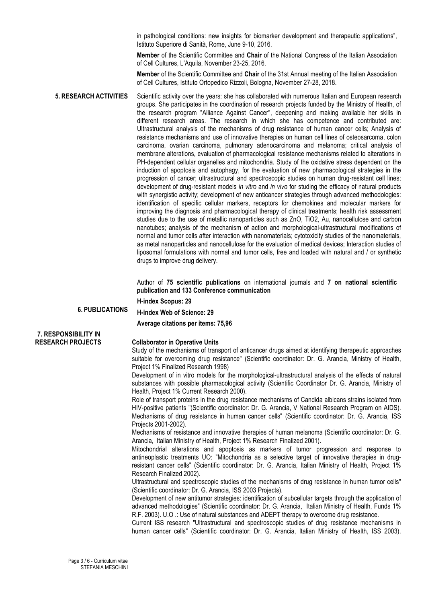|                               | in pathological conditions: new insights for biomarker development and therapeutic applications",<br>Istituto Superiore di Sanità, Rome, June 9-10, 2016.                                                                                                                                                                                                                                                                                                                                                                                                                                                                                                                                                                                                                                                                                                                                                                                                                                                                                                                                                                                                                                                                                                                                                                                                                                                                                                                                                                                                                                                                                                                                                                                                                                                                                                                                                                                                                                                                                                                                                                                 |
|-------------------------------|-------------------------------------------------------------------------------------------------------------------------------------------------------------------------------------------------------------------------------------------------------------------------------------------------------------------------------------------------------------------------------------------------------------------------------------------------------------------------------------------------------------------------------------------------------------------------------------------------------------------------------------------------------------------------------------------------------------------------------------------------------------------------------------------------------------------------------------------------------------------------------------------------------------------------------------------------------------------------------------------------------------------------------------------------------------------------------------------------------------------------------------------------------------------------------------------------------------------------------------------------------------------------------------------------------------------------------------------------------------------------------------------------------------------------------------------------------------------------------------------------------------------------------------------------------------------------------------------------------------------------------------------------------------------------------------------------------------------------------------------------------------------------------------------------------------------------------------------------------------------------------------------------------------------------------------------------------------------------------------------------------------------------------------------------------------------------------------------------------------------------------------------|
|                               | Member of the Scientific Committee and Chair of the National Congress of the Italian Association<br>of Cell Cultures, L'Aquila, November 23-25, 2016.                                                                                                                                                                                                                                                                                                                                                                                                                                                                                                                                                                                                                                                                                                                                                                                                                                                                                                                                                                                                                                                                                                                                                                                                                                                                                                                                                                                                                                                                                                                                                                                                                                                                                                                                                                                                                                                                                                                                                                                     |
|                               | Member of the Scientific Committee and Chair of the 31st Annual meeting of the Italian Association<br>of Cell Cultures, Istituto Ortopedico Rizzoli, Bologna, November 27-28, 2018.                                                                                                                                                                                                                                                                                                                                                                                                                                                                                                                                                                                                                                                                                                                                                                                                                                                                                                                                                                                                                                                                                                                                                                                                                                                                                                                                                                                                                                                                                                                                                                                                                                                                                                                                                                                                                                                                                                                                                       |
| <b>5. RESEARCH ACTIVITIES</b> | Scientific activity over the years: she has collaborated with numerous Italian and European research<br>groups. She participates in the coordination of research projects funded by the Ministry of Health, of<br>the research program "Alliance Against Cancer", deepening and making available her skills in<br>different research areas. The research in which she has competence and contributed are:<br>Ultrastructural analysis of the mechanisms of drug resistance of human cancer cells; Analysis of<br>resistance mechanisms and use of innovative therapies on human cell lines of osteosarcoma, colon<br>carcinoma, ovarian carcinoma, pulmonary adenocarcinoma and melanoma; critical analysis of<br>membrane alterations, evaluation of pharmacological resistance mechanisms related to alterations in<br>PH-dependent cellular organelles and mitochondria. Study of the oxidative stress dependent on the<br>induction of apoptosis and autophagy, for the evaluation of new pharmacological strategies in the<br>progression of cancer; ultrastructural and spectroscopic studies on human drug-resistant cell lines;<br>development of drug-resistant models in vitro and in vivo for studing the efficacy of natural products<br>with synergistic activity; development of new anticancer strategies through advanced methodologies:<br>identification of specific cellular markers, receptors for chemokines and molecular markers for<br>improving the diagnosis and pharmacological therapy of clinical treatments; health risk assessment<br>studies due to the use of metallic nanoparticles such as ZnO, TiO2, Au, nanocellulose and carbon<br>nanotubes; analysis of the mechanism of action and morphological-ultrastructural modifications of<br>normal and tumor cells after interaction with nanomaterials; cytotoxicity studies of the nanomaterials,<br>as metal nanoparticles and nanocellulose for the evaluation of medical devices; Interaction studies of<br>liposomal formulations with normal and tumor cells, free and loaded with natural and / or synthetic<br>drugs to improve drug delivery. |
|                               | Author of 75 scientific publications on international journals and 7 on national scientific<br>publication and 133 Conference communication                                                                                                                                                                                                                                                                                                                                                                                                                                                                                                                                                                                                                                                                                                                                                                                                                                                                                                                                                                                                                                                                                                                                                                                                                                                                                                                                                                                                                                                                                                                                                                                                                                                                                                                                                                                                                                                                                                                                                                                               |
|                               | H-index Scopus: 29                                                                                                                                                                                                                                                                                                                                                                                                                                                                                                                                                                                                                                                                                                                                                                                                                                                                                                                                                                                                                                                                                                                                                                                                                                                                                                                                                                                                                                                                                                                                                                                                                                                                                                                                                                                                                                                                                                                                                                                                                                                                                                                        |
| <b>6. PUBLICATIONS</b>        | H-index Web of Science: 29                                                                                                                                                                                                                                                                                                                                                                                                                                                                                                                                                                                                                                                                                                                                                                                                                                                                                                                                                                                                                                                                                                                                                                                                                                                                                                                                                                                                                                                                                                                                                                                                                                                                                                                                                                                                                                                                                                                                                                                                                                                                                                                |
|                               | Average citations per items: 75,96                                                                                                                                                                                                                                                                                                                                                                                                                                                                                                                                                                                                                                                                                                                                                                                                                                                                                                                                                                                                                                                                                                                                                                                                                                                                                                                                                                                                                                                                                                                                                                                                                                                                                                                                                                                                                                                                                                                                                                                                                                                                                                        |
| 7. RESPONSIBILITY IN          |                                                                                                                                                                                                                                                                                                                                                                                                                                                                                                                                                                                                                                                                                                                                                                                                                                                                                                                                                                                                                                                                                                                                                                                                                                                                                                                                                                                                                                                                                                                                                                                                                                                                                                                                                                                                                                                                                                                                                                                                                                                                                                                                           |
| <b>RESEARCH PROJECTS</b>      | <b>Collaborator in Operative Units</b>                                                                                                                                                                                                                                                                                                                                                                                                                                                                                                                                                                                                                                                                                                                                                                                                                                                                                                                                                                                                                                                                                                                                                                                                                                                                                                                                                                                                                                                                                                                                                                                                                                                                                                                                                                                                                                                                                                                                                                                                                                                                                                    |
|                               | Study of the mechanisms of transport of anticancer drugs aimed at identifying therapeutic approaches<br>suitable for overcoming drug resistance" (Scientific coordinator: Dr. G. Arancia, Ministry of Health,<br>Project 1% Finalized Research 1998)                                                                                                                                                                                                                                                                                                                                                                                                                                                                                                                                                                                                                                                                                                                                                                                                                                                                                                                                                                                                                                                                                                                                                                                                                                                                                                                                                                                                                                                                                                                                                                                                                                                                                                                                                                                                                                                                                      |
|                               | Development of in vitro models for the morphological-ultrastructural analysis of the effects of natural<br>substances with possible pharmacological activity (Scientific Coordinator Dr. G. Arancia, Ministry of<br>Health, Project 1% Current Research 2000).                                                                                                                                                                                                                                                                                                                                                                                                                                                                                                                                                                                                                                                                                                                                                                                                                                                                                                                                                                                                                                                                                                                                                                                                                                                                                                                                                                                                                                                                                                                                                                                                                                                                                                                                                                                                                                                                            |
|                               | Role of transport proteins in the drug resistance mechanisms of Candida albicans strains isolated from<br>HIV-positive patients "(Scientific coordinator: Dr. G. Arancia, V National Research Program on AIDS).<br>Mechanisms of drug resistance in human cancer cells" (Scientific coordinator: Dr. G. Arancia, ISS<br>Projects 2001-2002).                                                                                                                                                                                                                                                                                                                                                                                                                                                                                                                                                                                                                                                                                                                                                                                                                                                                                                                                                                                                                                                                                                                                                                                                                                                                                                                                                                                                                                                                                                                                                                                                                                                                                                                                                                                              |
|                               | Mechanisms of resistance and innovative therapies of human melanoma (Scientific coordinator: Dr. G.<br>Arancia, Italian Ministry of Health, Project 1% Research Finalized 2001).                                                                                                                                                                                                                                                                                                                                                                                                                                                                                                                                                                                                                                                                                                                                                                                                                                                                                                                                                                                                                                                                                                                                                                                                                                                                                                                                                                                                                                                                                                                                                                                                                                                                                                                                                                                                                                                                                                                                                          |
|                               | Mitochondrial alterations and apoptosis as markers of tumor progression and response to<br>antineoplastic treatments UO: "Mitochondria as a selective target of innovative therapies in drug-<br>resistant cancer cells" (Scientific coordinator: Dr. G. Arancia, Italian Ministry of Health, Project 1%<br>Research Finalized 2002).                                                                                                                                                                                                                                                                                                                                                                                                                                                                                                                                                                                                                                                                                                                                                                                                                                                                                                                                                                                                                                                                                                                                                                                                                                                                                                                                                                                                                                                                                                                                                                                                                                                                                                                                                                                                     |
|                               | "Ultrastructural and spectroscopic studies of the mechanisms of drug resistance in human tumor cells<br>(Scientific coordinator: Dr. G. Arancia, ISS 2003 Projects).                                                                                                                                                                                                                                                                                                                                                                                                                                                                                                                                                                                                                                                                                                                                                                                                                                                                                                                                                                                                                                                                                                                                                                                                                                                                                                                                                                                                                                                                                                                                                                                                                                                                                                                                                                                                                                                                                                                                                                      |
|                               | Development of new antitumor strategies: identification of subcellular targets through the application of<br>advanced methodologies" (Scientific coordinator: Dr. G. Arancia, Italian Ministry of Health, Funds 1%<br>R.F. 2003). U.O .: Use of natural substances and ADEPT therapy to overcome drug resistance.<br>Current ISS research "Ultrastructural and spectroscopic studies of drug resistance mechanisms in                                                                                                                                                                                                                                                                                                                                                                                                                                                                                                                                                                                                                                                                                                                                                                                                                                                                                                                                                                                                                                                                                                                                                                                                                                                                                                                                                                                                                                                                                                                                                                                                                                                                                                                     |
|                               | human cancer cells" (Scientific coordinator: Dr. G. Arancia, Italian Ministry of Health, ISS 2003).                                                                                                                                                                                                                                                                                                                                                                                                                                                                                                                                                                                                                                                                                                                                                                                                                                                                                                                                                                                                                                                                                                                                                                                                                                                                                                                                                                                                                                                                                                                                                                                                                                                                                                                                                                                                                                                                                                                                                                                                                                       |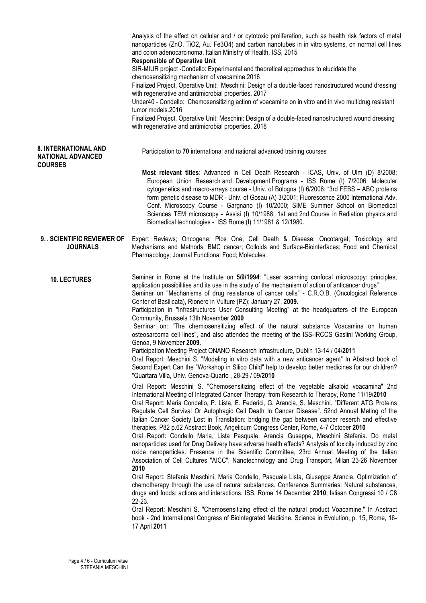|                                                                           | Analysis of the effect on cellular and / or cytotoxic proliferation, such as health risk factors of metal<br>nanoparticles (ZnO, TiO2, Au. Fe3O4) and carbon nanotubes in in vitro systems, on normal cell lines<br>and colon adenocarcinoma. Italian Ministry of Health, ISS, 2015<br><b>Responsible of Operative Unit</b><br>SIR-MIUR project -Condello: Experimental and theoretical approaches to elucidate the<br>chemosensitizing mechanism of voacamine.2016<br>Finalized Project, Operative Unit: Meschini: Design of a double-faced nanostructured wound dressing<br>with regenerative and antimicrobial properties. 2017<br>Under40 - Condello: Chemosensitizing action of voacamine on in vitro and in vivo multidrug resistant<br>tumor models.2016<br>Finalized Project, Operative Unit: Meschini: Design of a double-faced nanostructured wound dressing<br>with regenerative and antimicrobial properties. 2018                                                                                                                                                                                                                                                                                                                                                                                                                                                                                                                                                                                                                                    |
|---------------------------------------------------------------------------|-------------------------------------------------------------------------------------------------------------------------------------------------------------------------------------------------------------------------------------------------------------------------------------------------------------------------------------------------------------------------------------------------------------------------------------------------------------------------------------------------------------------------------------------------------------------------------------------------------------------------------------------------------------------------------------------------------------------------------------------------------------------------------------------------------------------------------------------------------------------------------------------------------------------------------------------------------------------------------------------------------------------------------------------------------------------------------------------------------------------------------------------------------------------------------------------------------------------------------------------------------------------------------------------------------------------------------------------------------------------------------------------------------------------------------------------------------------------------------------------------------------------------------------------------------------------|
| <b>8. INTERNATIONAL AND</b><br><b>NATIONAL ADVANCED</b><br><b>COURSES</b> | Participation to 70 international and national advanced training courses                                                                                                                                                                                                                                                                                                                                                                                                                                                                                                                                                                                                                                                                                                                                                                                                                                                                                                                                                                                                                                                                                                                                                                                                                                                                                                                                                                                                                                                                                          |
|                                                                           | Most relevant titles: Advanced in Cell Death Research - ICAS, Univ. of Ulm (D) 8/2008;<br>European Union Research and Development Programs - ISS Rome (I) 7/2006; Molecular<br>cytogenetics and macro-arrays course - Univ. of Bologna (I) 6/2006; "3rd FEBS - ABC proteins<br>form genetic disease to MDR - Univ. of Gosau (A) 3/2001; Fluorescence 2000 International Adv.<br>Conf. Microscopy Course - Gargnano (I) 10/2000; SIME Summer School on Biomedical<br>Sciences TEM microscopy - Assisi (I) 10/1988; 1st and 2nd Course in Radiation physics and<br>Biomedical technologies - ISS Rome (I) 11/1981 & 12/1980.                                                                                                                                                                                                                                                                                                                                                                                                                                                                                                                                                                                                                                                                                                                                                                                                                                                                                                                                        |
| 9. . SCIENTIFIC REVIEWER OF<br><b>JOURNALS</b>                            | Expert Reviews; Oncogene; Plos One; Cell Death & Disease; Oncotarget; Toxicology and<br>Mechanisms and Methods; BMC cancer; Colloids and Surface-Biointerfaces; Food and Chemical<br>Pharmacology; Journal Functional Food; Molecules.                                                                                                                                                                                                                                                                                                                                                                                                                                                                                                                                                                                                                                                                                                                                                                                                                                                                                                                                                                                                                                                                                                                                                                                                                                                                                                                            |
| <b>10. LECTURES</b>                                                       | Seminar in Rome at the Institute on 5/9/1994: "Laser scanning confocal microscopy: principles,<br>application possibilities and its use in the study of the mechanism of action of anticancer drugs"<br>Seminar on "Mechanisms of drug resistance of cancer cells" - C.R.O.B. (Oncological Reference<br>Center of Basilicata), Rionero in Vulture (PZ); January 27, 2009.<br>Participation in "Infrastructures User Consulting Meeting" at the headquarters of the European<br>Community, Brussels 13th November 2009<br>Seminar on: "The chemiosensitizing effect of the natural substance Voacamina on human<br>osteosarcoma cell lines", and also attended the meeting of the ISS-IRCCS Gaslini Working Group,<br>Genoa, 9 November 2009.<br>Participation Meeting Project QNANO Research Infrastructure, Dublin 13-14 / 04/2011<br>Oral Report: Meschini S. "Modeling in vitro data with a new anticancer agent" In Abstract book of<br>Second Expert Can the "Workshop in Silico Child" help to develop better medicines for our children?<br>Quartara Villa, Univ. Genova-Quarto, 28-29 / 09/2010                                                                                                                                                                                                                                                                                                                                                                                                                                                           |
|                                                                           | Oral Report: Meschini S. "Chemosensitizing effect of the vegetable alkaloid voacamina" 2nd<br>International Meeting of Integrated Cancer Therapy: from Research to Therapy, Rome 11/19/2010<br>Oral Report: Maria Condello, P. Lista, E. Federici, G. Arancia, S. Meschini. "Different ATG Proteins<br>Regulate Cell Survival Or Autophagic Cell Death In Cancer Disease". 52nd Annual Meting of the<br>Italian Cancer Society Lost in Translation: bridging the gap between cancer reserch and effective<br>therapies. P82 p.62 Abstract Book, Angelicum Congress Center, Rome, 4-7 October 2010<br>Oral Report: Condello Maria, Lista Pasquale, Arancia Guseppe, Meschini Stefania. Do metal<br>nanoparticles used for Drug Delivery have adverse health effects? Analysis of toxicity induced by zinc<br>pxide nanoparticles. Presence in the Scientific Committee, 23rd Annual Meeting of the Italian<br>Association of Cell Cultures "AICC", Nanotechnology and Drug Transport, Milan 23-26 November<br>2010<br>Oral Report: Stefania Meschini, Maria Condello, Pasquale Lista, Giuseppe Arancia. Optimization of<br>chemotherapy through the use of natural substances. Conference Summaries: Natural substances,<br>drugs and foods: actions and interactions. ISS, Rome 14 December 2010, Istisan Congressi 10 / C8<br>22-23.<br>Oral Report: Meschini S. "Chemosensitizing effect of the natural product Voacamine." In Abstract<br>book - 2nd International Congress of Biointegrated Medicine, Science in Evolution, p. 15, Rome, 16-<br>17 April 2011 |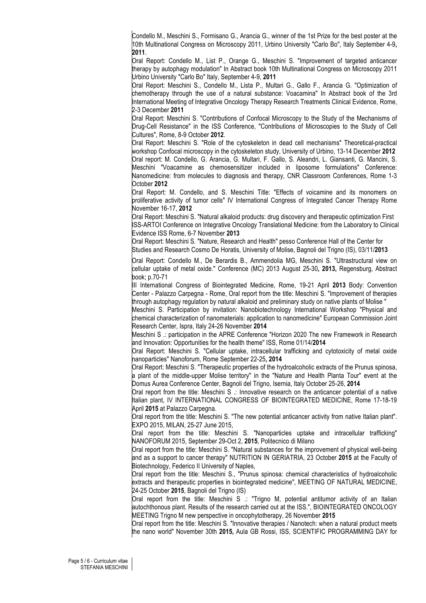Condello M., Meschini S., Formisano G., Arancia G., winner of the 1st Prize for the best poster at the 10th Multinational Congress on Microscopy 2011, Urbino University "Carlo Bo", Italy September 4-9**, 2011**.

Oral Report: Condello M., List P., Orange G., Meschini S. "Improvement of targeted anticancer therapy by autophagy modulation" In Abstract book 10th Multinational Congress on Microscopy 2011 Urbino University "Carlo Bo" Italy, September 4-9, **2011**

Oral Report: Meschini S., Condello M., Lista P., Multari G., Gallo F., Arancia G. "Optimization of chemotherapy through the use of a natural substance: Voacamina" In Abstract book of the 3rd International Meeting of Integrative Oncology Therapy Research Treatments Clinical Evidence, Rome, 2-3 December **2011**

Oral Report: Meschini S. "Contributions of Confocal Microscopy to the Study of the Mechanisms of Drug-Cell Resistance" in the ISS Conference, "Contributions of Microscopies to the Study of Cell Cultures", Rome, 8-9 October **2012**.

Oral Report: Meschini S. "Role of the cytoskeleton in dead cell mechanisms" Theoretical-practical workshop Confocal microscopy in the cytoskeleton study, University of Urbino, 13-14 December **2012** Oral report: M. Condello, G. Arancia, G. Multari, F. Gallo, S. Aleandri, L. Giansanti, G. Mancini, S. Meschini "Voacamine as chemosensitizer included in liposome formulations" Conference: Nanomedicine: from molecules to diagnosis and therapy, CNR Classroom Conferences, Rome 1-3 October **2012**

Oral Report: M. Condello, and S. Meschini Title: "Effects of voicamine and its monomers on proliferative activity of tumor cells" IV International Congress of Integrated Cancer Therapy Rome November 16-17, **2012**

Oral Report: Meschini S. "Natural alkaloid products: drug discovery and therapeutic optimization First ISS-ARTOI Conference on Integrative Oncology Translational Medicine: from the Laboratory to Clinical Evidence ISS Rome, 6-7 November **2013**

Oral Report: Meschini S. "Nature, Research and Health" pesso Conference Hall of the Center for Studies and Research Cosmo De Horatis, University of Molise, Bagnoli del Trigno (IS), 03/11/**2013**

Oral Report: Condello M., De Berardis B., Ammendolia MG, Meschini S. "Ultrastructural view on cellular uptake of metal oxide." Conference (MC) 2013 August 25-30**, 2013,** Regensburg, Abstract book; p.70-71

III International Congress of Biointegrated Medicine, Rome, 19-21 April **2013** Body: Convention Center - Palazzo Carpegna - Rome, Oral report from the title: Meschini S. "Improvement of therapies through autophagy regulation by natural alkaloid and preliminary study on native plants of Molise "

Meschini S. Participation by invitation: Nanobiotechnology International Workshop "Physical and chemical characterization of nanomaterials: application to nanomedicine" European Commission Joint Research Center, Ispra, Italy 24-26 November **2014**

Meschini S .: participation in the APRE Conference "Horizon 2020 The new Framework in Research and Innovation: Opportunities for the health theme" ISS, Rome 01/14/**2014**

Oral Report: Meschini S. "Cellular uptake, intracellular trafficking and cytotoxicity of metal oxide nanoparticles" Nanoforum, Rome September 22-25**, 2014**

Oral Report: Meschini S. "Therapeutic properties of the hydroalcoholic extracts of the Prunus spinosa, a plant of the middle-upper Molise territory" in the "Nature and Health Planta Tour" event at the Domus Aurea Conference Center, Bagnoli del Trigno, Isernia, Italy October 25-26, **2014**

Oral report from the title: Meschini S .: Innovative research on the anticancer potential of a native Italian plant, IV INTERNATIONAL CONGRESS OF BIOINTEGRATED MEDICINE, Rome 17-18-19 April **2015** at Palazzo Carpegna.

Oral report from the title: Meschini S. "The new potential anticancer activity from native Italian plant". EXPO 2015, MILAN, 25-27 June 2015,

Oral report from the title: Meschini S. "Nanoparticles uptake and intracellular trafficking" NANOFORUM 2015, September 29-Oct 2, **2015**, Politecnico di Milano

Oral report from the title: Meschini S. "Natural substances for the improvement of physical well-being and as a support to cancer therapy" NUTRITION IN GERIATRIA, 23 October **2015** at the Faculty of Biotechnology, Federico II University of Naples,

Oral report from the title: Meschini S., "Prunus spinosa: chemical characteristics of hydroalcoholic extracts and therapeutic properties in biointegrated medicine", MEETING OF NATURAL MEDICINE, 24-25 October **2015**, Bagnoli del Trigno (IS)

Oral report from the title: Meschini S .: "Trigno M, potential antitumor activity of an Italian autochthonous plant. Results of the research carried out at the ISS.", BIOINTEGRATED ONCOLOGY MEETING Trigno M new perspective in oncophytotherapy, 26 November **2015**

Oral report from the title: Meschini S. "Innovative therapies / Nanotech: when a natural product meets the nano world" November 30th **2015,** Aula GB Rossi, ISS, SCIENTIFIC PROGRAMMING DAY for